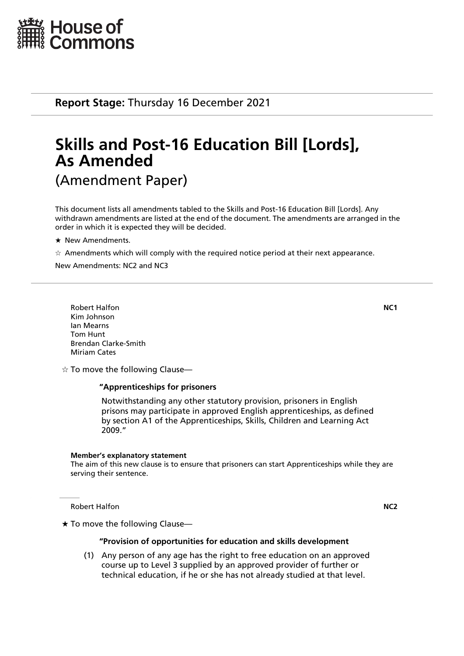

**Report Stage:** Thursday 16 December 2021

# **Skills and Post-16 Education Bill [Lords], As Amended** (Amendment Paper)

This document lists all amendments tabled to the Skills and Post-16 Education Bill [Lords]. Any withdrawn amendments are listed at the end of the document. The amendments are arranged in the order in which it is expected they will be decided.

- $\star$  New Amendments.
- $\dot{\varphi}$  Amendments which will comply with the required notice period at their next appearance.

New Amendments: NC2 and NC3

Robert Halfon **NC1** Kim Johnson Ian Mearns Tom Hunt Brendan Clarke-Smith Miriam Cates

 $\dot{\varphi}$  To move the following Clause—

#### **"Apprenticeships for prisoners**

 Notwithstanding any other statutory provision, prisoners in English prisons may participate in approved English apprenticeships, as defined by section A1 of the Apprenticeships, Skills, Children and Learning Act 2009."

#### **Member's explanatory statement**

The aim of this new clause is to ensure that prisoners can start Apprenticeships while they are serving their sentence.

Robert Halfon **NC2**

 $\star$  To move the following Clause—

#### **"Provision of opportunities for education and skills development**

(1) Any person of any age has the right to free education on an approved course up to Level 3 supplied by an approved provider of further or technical education, if he or she has not already studied at that level.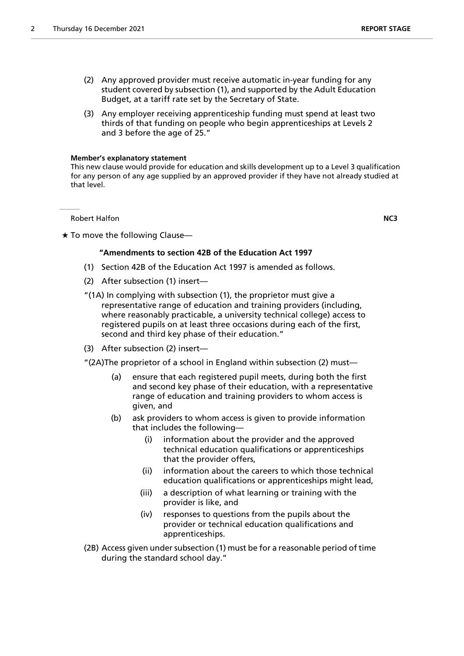- (2) Any approved provider must receive automatic in-year funding for any student covered by subsection (1), and supported by the Adult Education Budget, at a tariff rate set by the Secretary of State.
- (3) Any employer receiving apprenticeship funding must spend at least two thirds of that funding on people who begin apprenticeships at Levels 2 and 3 before the age of 25."

#### **Member's explanatory statement**

This new clause would provide for education and skills development up to a Level 3 qualification for any person of any age supplied by an approved provider if they have not already studied at that level.

Robert Halfon **NC3** 

#### $\star$  To move the following Clause-

# **"Amendments to section 42B of the Education Act 1997**

- (1) Section 42B of the Education Act 1997 is amended as follows.
- (2) After subsection (1) insert—
- "(1A) In complying with subsection (1), the proprietor must give a representative range of education and training providers (including, where reasonably practicable, a university technical college) access to registered pupils on at least three occasions during each of the first, second and third key phase of their education."
- (3) After subsection (2) insert—
- "(2A)The proprietor of a school in England within subsection (2) must—
	- (a) ensure that each registered pupil meets, during both the first and second key phase of their education, with a representative range of education and training providers to whom access is given, and
	- (b) ask providers to whom access is given to provide information that includes the following—
		- (i) information about the provider and the approved technical education qualifications or apprenticeships that the provider offers,
		- (ii) information about the careers to which those technical education qualifications or apprenticeships might lead,
		- (iii) a description of what learning or training with the provider is like, and
		- (iv) responses to questions from the pupils about the provider or technical education qualifications and apprenticeships.
- (2B) Access given under subsection (1) must be for a reasonable period of time during the standard school day."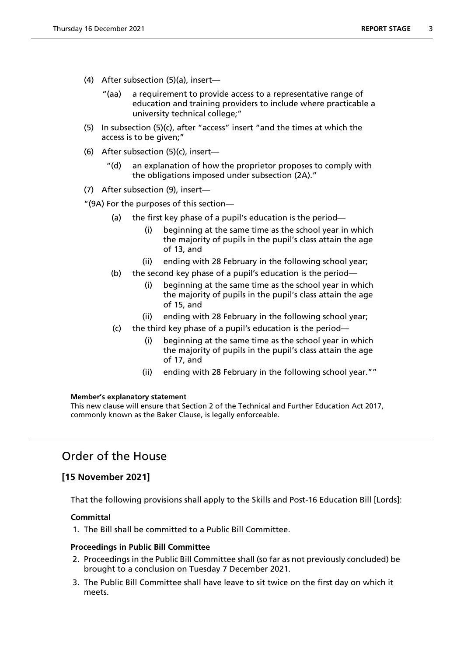- (4) After subsection (5)(a), insert—
	- "(aa) a requirement to provide access to a representative range of education and training providers to include where practicable a university technical college;"
- (5) In subsection (5)(c), after "access" insert "and the times at which the access is to be given;"
- (6) After subsection (5)(c), insert—
	- "(d) an explanation of how the proprietor proposes to comply with the obligations imposed under subsection (2A)."
- (7) After subsection (9), insert—

"(9A) For the purposes of this section—

- (a) the first key phase of a pupil's education is the period—
	- (i) beginning at the same time as the school year in which the majority of pupils in the pupil's class attain the age of 13, and
	- (ii) ending with 28 February in the following school year;
- (b) the second key phase of a pupil's education is the period—
	- (i) beginning at the same time as the school year in which the majority of pupils in the pupil's class attain the age of 15, and
	- (ii) ending with 28 February in the following school year;
- (c) the third key phase of a pupil's education is the period
	- beginning at the same time as the school year in which the majority of pupils in the pupil's class attain the age of 17, and
	- (ii) ending with 28 February in the following school year.""

#### **Member's explanatory statement**

This new clause will ensure that Section 2 of the Technical and Further Education Act 2017, commonly known as the Baker Clause, is legally enforceable.

# Order of the House

# **[15 November 2021]**

That the following provisions shall apply to the Skills and Post-16 Education Bill [Lords]:

## **Committal**

1. The Bill shall be committed to a Public Bill Committee.

## **Proceedings in Public Bill Committee**

- 2. Proceedings in the Public Bill Committee shall (so far as not previously concluded) be brought to a conclusion on Tuesday 7 December 2021.
- 3. The Public Bill Committee shall have leave to sit twice on the first day on which it meets.